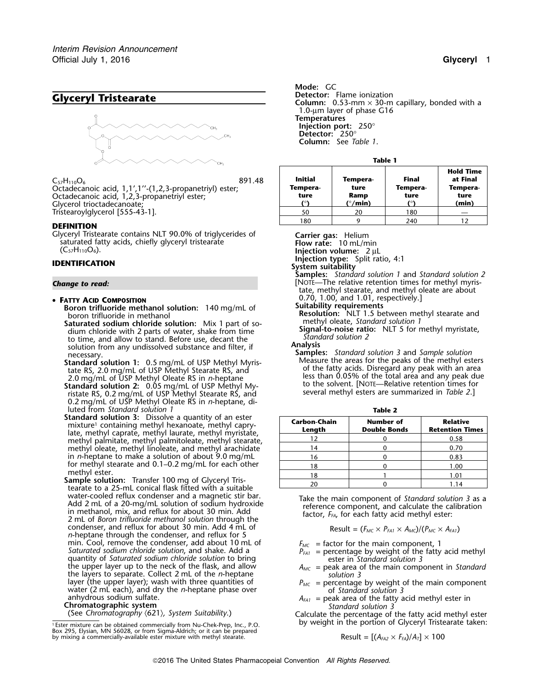

Glyceryl Tristearate contains NLT 90.0% of triglycerides of **Carrier gas:** Helium saturated fatty acids, chiefly glyceryl tristearate **Carrier steems** Flow rate: 10 mL/min saturated fatty acids, chiefly glyceryl tristearate **Flow rate:**<sup>10</sup> mL/min (C57H110O6). **Injection volume:**<sup>2</sup> <sup>µ</sup><sup>L</sup>

# **Injection type:** Split ratio, 4:1 **IDENTIFICATION System suitability**

### **FATTY ACID COMPOSITION**

**Boron trifluoride methanol solution:** 140 mg/mL of boron trifluoride in methanol

- **Saturated sodium chloride solution:** Mix 1 part of so- methyl oleate, *Standard solution 1* dium chloride with 2 parts of water, shake from time **Signal-to-noise rationalists** of water, shake from time **Standard solution 2** to time, and allow to stand. Before use, decant the *Stand*<br>solution from any undissolved substance and filter. if **Analysis Analysis** solution from any undissolved substance and filter, if
- **Standard solution 1:** Measure the areas for the peaks of the methyl esters 0.5 mg/mL of USP Methyl Myris- of the fatty acids. Disregard any peak with an area tate RS, 2.0 mg/mL of USP Methyl Stearate RS, and
- **Standard solution 2:** 0.05 mg/mL of USP Methyl My-<br>
ristate RS, 0.2 mg/mL of USP Methyl Stearate RS, and several methyl esters are summarized in *Table 2*.] 0.2 mg/mL of USP Methyl Oleate RS in *n*-heptane, diluted from *Standard* solution 1
- **Standard solution 3:** Dissolve a quantity of an ester mixture<sup>1</sup> containing methyl hexanoate, methyl caprylate, methyl caprate, methyl laurate, methyl myristate, methyl palmitate, methyl palmitoleate, methyl stearate, methyl oleate, methyl linoleate, and methyl arachidate in *n*-heptane to make a solution of about 9.0 mg/mL for methyl stearate and  $0.1-0.2$  mg/mL for each other methyl ester.
- **Sample solution:** Transfer 100 mg of Glyceryl Tris-<br>tearate to a 25-mL conical flask fitted with a suitable water-cooled reflux condenser and a magnetic stir bar.<br>Add 2 mL of a 20-mg/mL solution of sodium hydroxide<br>in methanol, mix, and reflux for about 30 min. Add<br>2 mL of *Boron trifluoride methanol solution* through the<br>2 mL condenser, and reflux for about 30 min. Add 4 mL of *n*-heptane through the condenser, and reflux for 5 min. Cool, remove the condenser, add about 10 mL of  $F_{MC}$  = factor for the main component, 1<br>Saturated sodium chloride solution, and shake. Add a<br>quantity of Saturated sodium chloride solution to bring ester in Standard quantity of *Saturated sodium chloride solution* to bring the upper layer up to the neck of the flask, and allow *<sup>A</sup>MC* = peak area of the main component in *Standard* the layers to separate. Collect 2 mL of the *n*-heptane *solution 3*<br>layer (the upper layer); wash with three quantities of  $P_{MC}$  = percentage layer (the upper layer); wash with three quantities of *P<sub>MC</sub>* = percentage by weight of the main component water (2 mL each), and dry the *n*-heptane phase over of *Standard solution 3*<br>anhydrous sodium sulfate.  $A_{FAI}$  =

*.* **Mode:** GC **Clyceryl Tristearate Column:** Detector: Flame ionization<br> **Column:** 0.53-mm × 30-m capillary, bonded with a 1.0-µm layer of phase G16 **Temperatures Injection port:** 250° **Detector:** 250° **Column:** See *Table 1*.

| Tabl | ı |  |
|------|---|--|

| $C_{57}H_{110}O_6$<br>891.48<br>Octadecanoic acid, 1,1',1''-(1,2,3-propanetriyl) ester;<br>Octadecanoic acid, 1,2,3-propanetriyl ester;<br>Glycerol trioctadecanoate; | Initial<br>Tempera-<br>ture | Tempera-<br>ture<br>Ramp<br>(°/min) | <b>Final</b><br>Tempera-<br>ture | <b>Hold Time</b><br>at Final<br>Tempera-<br>ture<br>(min) |  |
|-----------------------------------------------------------------------------------------------------------------------------------------------------------------------|-----------------------------|-------------------------------------|----------------------------------|-----------------------------------------------------------|--|
| Tristearoylglycerol [555-43-1].                                                                                                                                       | 50                          | 20                                  | 180                              |                                                           |  |
|                                                                                                                                                                       | 180                         |                                     | 240                              |                                                           |  |
| DEFINITION                                                                                                                                                            |                             |                                     |                                  |                                                           |  |

**Samples:** *Standard solution 1* and *Standard solution 2* **Change to read: Change to read: Change to read: Change to read: Change to read: Change to read: Change to read: Change to read: Change to read: Change to read: Change to read: Change to read: Chang** tate, methyl stearate, and methyl oleate are about 0.70, 1.00, and 1.01, respectively.]<br>Suitability requirements

Resolution: NLT 1.5 between methyl stearate and<br>methyl oleate, Standard solution 1

necessary.<br>**Samples:** *Standard solution 3* and *Sample solution*<br>**Standard solution 1:** 0.5 mg/mL of USP Methyl Myris-<br>Measure the areas for the peaks of the methyl esters 2.0 mg/mL of USP Methyl Oleate RS in *n*-heptane<br>
itandard solution 2: 0.05 mg/mL of USP Methyl My-<br>
to the solvent. [NOTE—Relative retention times for

|                               | Table 2                                 |                                           |
|-------------------------------|-----------------------------------------|-------------------------------------------|
| <b>Carbon-Chain</b><br>Length | <b>Number of</b><br><b>Double Bonds</b> | <b>Relative</b><br><b>Retention Times</b> |
| 12                            |                                         | 0.58                                      |
| 14                            |                                         | 0.70                                      |
| 16                            |                                         | 0.83                                      |
| 18                            |                                         | 1.00                                      |
| 18                            |                                         | 1.01                                      |
|                               |                                         | 1.14                                      |

Result = 
$$
(F_{MC} \times P_{FA1} \times A_{MC})/(P_{MC} \times A_{FA1})
$$

- 
- 
- 
- 
- anhydrous sodium sulfate.<br> **Chromatographic system**<br>
(See Chromatography (621), System Suitability.) Calculate the percentage of the fatty acid methyl<br>
(See Chromatography (621), System Suitability.) Calculate the percenta

Calculate the percentage of the fatty acid methyl ester by weight in the portion of Glyceryl Tristearate taken:

Result = 
$$
[(A_{FA2} \times F_{FA})/A_7] \times 100
$$

<sup>.</sup>Ester mixture can be obtained commercially from Nu-Chek-Prep, Inc., P.O. Box 295, Elysian, MN 56028, or from Sigma-Aldrich; or it can be prepared by mixing a commercially-available ester mixture with methyl stearate.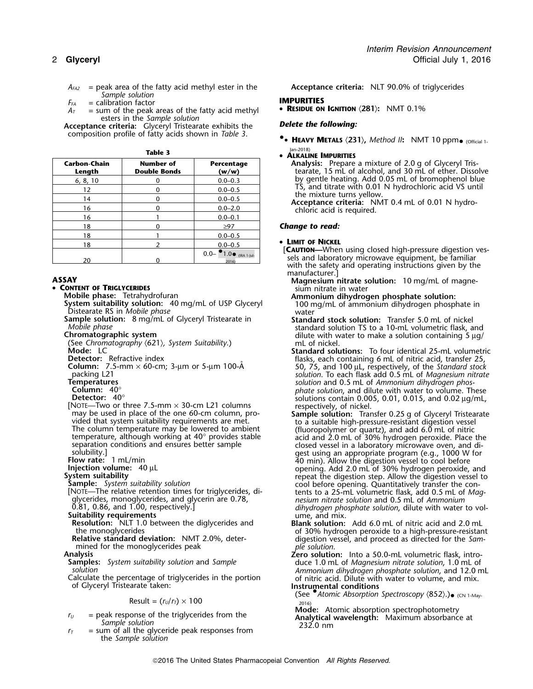*AFA2* = peak area of the fatty acid methyl ester in the **Acceptance criteria:** NLT 90.0% of triglycerides *Sample solution*

 $F_{FA}$  = calibration factor<br> $A_{T}$  = sum of the peak areas of the fatty acid methyl **• RESIDUE ON IGNITION**  $\langle 281 \rangle$ : NMT 0.1%  $=$  sum of the peak areas of the fatty acid methyl esters in the *Sample solution*

**Acceptance criteria:** *Delete the following:* Glyceryl Tristearate exhibits the composition profile of fatty acids shown in *Table 3*. **•**

Jan-2018) **Table 3** •

| Carbon-Chain<br>Length | <b>Number of</b><br><b>Double Bonds</b> | Percentage<br>(w/w)                  |
|------------------------|-----------------------------------------|--------------------------------------|
| 6, 8, 10               |                                         | $0.0 - 0.3$                          |
| 12                     |                                         | $0.0 - 0.5$                          |
| 14                     |                                         | $0.0 - 0.5$                          |
| 16                     |                                         | $0.0 - 2.0$                          |
| 16                     |                                         | $0.0 - 0.1$                          |
| 18                     |                                         | $\geq 97$                            |
| 18                     |                                         | $0.0 - 0.5$                          |
| 18                     |                                         | $0.0 - 0.5$                          |
| 20                     |                                         | 1.0  (IRA 1-Jul-<br>$0.0 -$<br>2016) |

•

**CONTENT OF TRIGLYCERIDES CONTENT OF TRIGLYCERIDES** 

- **Sample solution:** 8 mg/mL of Glyceryl Tristearate in **Standard stock solution:** Transfer 5.0 mL of nickel
- 
- 

**DETE** Two or three 7.5-mm  $\times$  30-cm L21 columns respectively, of nickel.<br>
may be used in place of the one 60-cm column, pro-**Sample solution:** Tran The column temperature may be lowered to ambient (fluoropolymer or quartz), and add 6.0 mL of nitric temperature, although working at 40° provides stable  $\frac{1}{\sqrt{2}}$  and  $\frac{1}{\sqrt{2}}$ , and  $\frac{1}{\sqrt{2}}$  and  $\frac{1}{\sqrt{2}}$  an

Result =  $(r_U/r_T) \times 100$ 

- 
- = sum of all the glyceride peak responses from the *Sample solution*

**.**• **HEAVY METALS** 〈**231**〉**,** *Method II***:** NMT 10 ppm• (Official 1-

### **ALKALINE IMPURITIES**

**Analysis:** Prepare a mixture of 2.0 g of Glyceryl Tris-**Length Double Bonds (w/w)** tearate, 15 mL of alcohol, and 30 mL of ether. Dissolve by gentle heating. Add 0.05 mL of bromophenol blue<br>TS, and titrate with 0.01 N hydrochloric acid VS until the mixture turns yellow.<br>**Acceptance criteria:** NMT 0.4 mL of 0.01 N hydro-<br>chloric acid is required.

### **Change to read:**

### • LIMIT OF NICKEL

**LAUTION—When using closed high-pressure digestion ves**sels and laboratory microwave equipment, be familiar<br>with the safety and operating instructions given by the<br>manufacturer.]

- **ASSAY ASSAY Magnesium nitrate solution:** 10 mg/mL of magne-
	- **Mobile phase:** Tetrahydrofuran **Ammonium dihydrogen phosphate solution:**<br> **System suitability solution:** 40 mg/mL of USP Glyceryl 100 mg/mL of ammonium dihydrogen phosphate in<br>
	Distearate RS in *Mobile phase* vater vater<br>

Mobile phase<br>
Chromatographic system<br>
(See Chromatography (621), System Suitability.)<br>
Mode: LC<br>
Mode: LC<br>
Mode: LC<br>
Mode: LC

- **Standard solutions:** To four identical 25-mL volumetric **Detector:** Refractive index flasks, each containing 6 mL of nitric acid, transfer 25, **Column:** 7.5-mm × 60-cm; 3-µm or 5-µm 100-A˚ 50, 75, and 100 <sup>µ</sup>L, respectively, of the *Standard stock* **Column:** 7.5-mm × 60-cm; 3-µm or 5-µm 100-Å<br>
packing L21<br> **Emperatures**<br> **Emperatures**<br> **Column:** 40°<br> **Column:** 40°<br> **Column:** 40°<br> **Column:** 40°<br> **Column:** 40°<br> **Column:** 40°<br> **Column:** 40°<br> **Column:** 40°<br> **Column:** 40
- may be used in place of the one 60-cm column, pro- **Sample solution:** Transfer 0.25 g of Glyceryl Tristearate temperature, although working at 40° provides stable acid and 2.0 mL of 30% hydrogen peroxide. Place the separation conditions and ensures better sample closed vessel in a laboratory microwave oven, and diseparation conditions and ensures better sample<br>solubility.]<br>
Flow rate: 1 mL/min<br>
Injection volume: 40 μL<br>
System suitability solution<br>
Sample: System suitability solution<br>
The relative retention times for triglycerides, NOTE—The relative retention times for triglycerides, di-<br>glycerides, monoglycerides, and glycerin are 0.78, *nesium nitrate solution* and 0.5 mL of *Ammonium*<br>0.81, 0.86, and 1.00, respectively.] *nesium dihydrogen phospha* 0.81, 0.86, and 1.00, respectively.]<br> **Suitability requirements**<br> **Resolution:** NLT 1.0 between the diglycerides and<br>
the monoglycerides<br>
the monoglycerides<br>
the monoglycerides<br>
the monoglycerides<br>
the monoglycerides
	- the monoglycerides<br>**Relative standard deviation:** NMT 2.0%, deter- digestion vessel, and proceed as directed for the *Sam*-<br>mined for the monoglycerides peak beaches and ple solution.

Analysis<br>
Samples: System suitability solution and Sample<br>
solution: Into a 50.0-ml volumetric flask, intro-<br>
solution 1.0 ml of Magnesium nitrate solution, 1.0 ml of<br>
Ammonium dihydrogen phosphate solution and 12.0 m *solution Ammonium dihydrogen phosphate solution*, and 12.0 mL Calculate the percentage of triglycerides in the portion of nitric acid. Dilute with water to volume, and mix. of Glyceryl Tristearate taken: **Instrumental conditions**

(See •.*Atomic Absorption Spectroscopy* 〈852〉.)• (CN 1-May-

*r*<sub>*U*</sub> = peak response of the triglycerides from the **Analytical wavelength:** Maximum absorbance at *Sample solution* **Analytical wavelength:** Maximum absorbance at *Sample solution* 232.0 nm